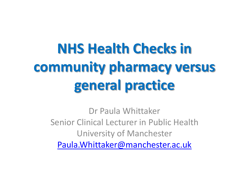# **NHS Health Checks in community pharmacy versus general practice**

Dr Paula Whittaker Senior Clinical Lecturer in Public Health University of Manchester [Paula.Whittaker@manchester.ac.uk](mailto:Paula.Whittaker@manchester.ac.uk)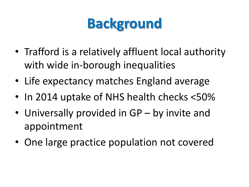## **Background**

- Trafford is a relatively affluent local authority with wide in-borough inequalities
- Life expectancy matches England average
- In 2014 uptake of NHS health checks <50%
- Universally provided in GP by invite and appointment
- One large practice population not covered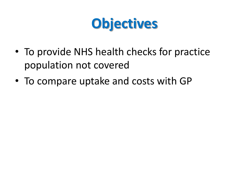

- To provide NHS health checks for practice population not covered
- To compare uptake and costs with GP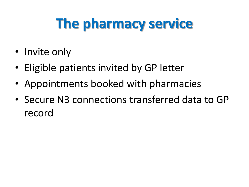## **The pharmacy service**

- Invite only
- Eligible patients invited by GP letter
- Appointments booked with pharmacies
- Secure N3 connections transferred data to GP record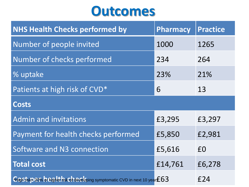#### **Outcomes**

| <b>NHS Health Checks performed by</b>                                           | <b>Pharmacy</b> | <b>Practice</b> |
|---------------------------------------------------------------------------------|-----------------|-----------------|
| Number of people invited                                                        | 1000            | 1265            |
| Number of checks performed                                                      | 234             | 264             |
| % uptake                                                                        | 23%             | 21%             |
| Patients at high risk of CVD*                                                   | 6               | 13              |
| <b>Costs</b>                                                                    |                 |                 |
| <b>Admin and invitations</b>                                                    | £3,295          | £3,297          |
| Payment for health checks performed                                             | £5,850          | £2,981          |
| Software and N3 connection                                                      | £5,616          | £0              |
| <b>Total cost</b>                                                               | £14,761         | £6,278          |
| Gig6 tsk2 20% or Bighet risk or developing symptomatic CVD in next 10 years £63 |                 | £24             |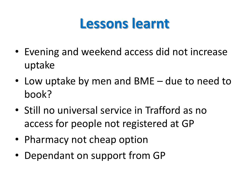### **Lessons learnt**

- Evening and weekend access did not increase uptake
- Low uptake by men and BME due to need to book?
- Still no universal service in Trafford as no access for people not registered at GP
- Pharmacy not cheap option
- Dependant on support from GP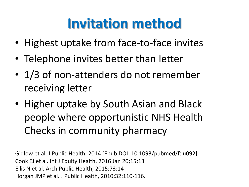## **Invitation method**

- Highest uptake from face-to-face invites
- Telephone invites better than letter
- 1/3 of non-attenders do not remember receiving letter
- Higher uptake by South Asian and Black people where opportunistic NHS Health Checks in community pharmacy

Gidlow et al. J Public Health, 2014 [Epub DOI: 10.1093/pubmed/fdu092] Cook EJ et al. Int J Equity Health, 2016 Jan 20;15:13 Ellis N et al. Arch Public Health, 2015;73:14 Horgan JMP et al. J Public Health, 2010;32:110-116.